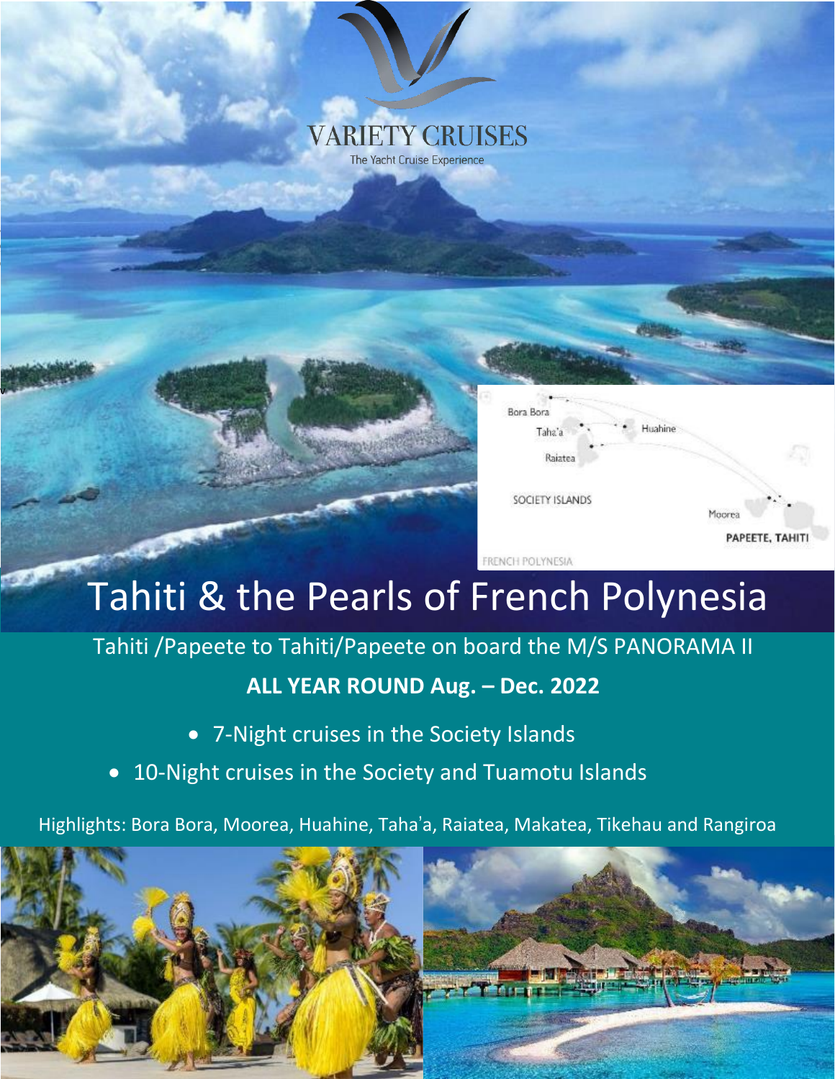## **VARIETY CRUISES** The Yacht Cruise Experience



# Tahiti & the Pearls of French Polynesia

# Tahiti /Papeete to Tahiti/Papeete on board the M/S PANORAMA II

## **ALL YEAR ROUND Aug. – Dec. 2022**

• 7-Night cruises in the Society Islands

v

• 10-Night cruises in the Society and Tuamotu Islands

Highlights: Bora Bora, Moorea, Huahine, Taha'a, Raiatea, Makatea, Tikehau and Rangiroa

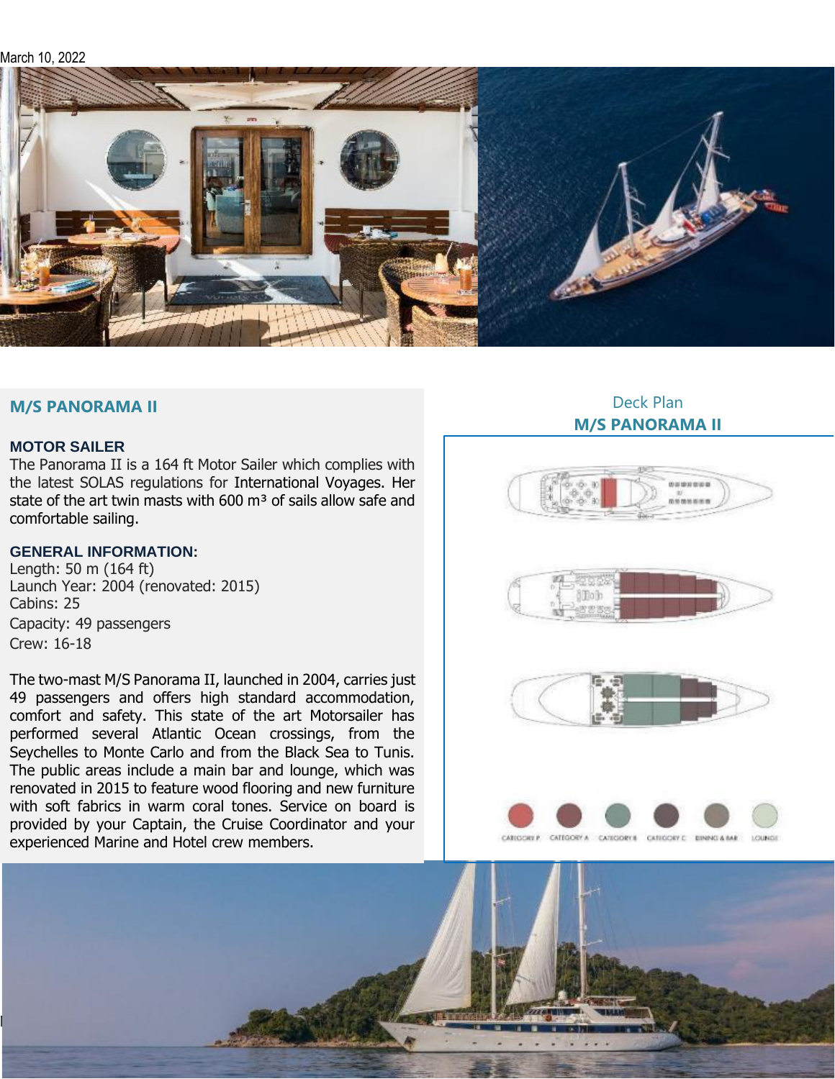March 10, 2022



## **M/S PANORAMA II**

## **MOTOR SAILER**

The Panorama II is a 164 ft Motor Sailer which complies with the latest SOLAS regulations for International Voyages. Her state of the art twin masts with 600  $\mathrm{m}^3$  of sails allow safe and comfortable sailing.

#### **GENERAL INFORMATION:**

Length: 50 m (164 ft) Launch Year: 2004 (renovated: 2015) Cabins: 25 Capacity: 49 passengers Crew: 16-18

The two-mast M/S Panorama II, launched in 2004, carries just 49 passengers and offers high standard accommodation, comfort and safety. This state of the art Motorsailer has performed several Atlantic Ocean crossings, from the Seychelles to Monte Carlo and from the Black Sea to Tunis. The public areas include a main bar and lounge, which was renovated in 2015 to feature wood flooring and new furniture with soft fabrics in warm coral tones. Service on board is provided by your Captain, the Cruise Coordinator and your experienced Marine and Hotel crew members.

## Deck Plan **M/S PANORAMA II**









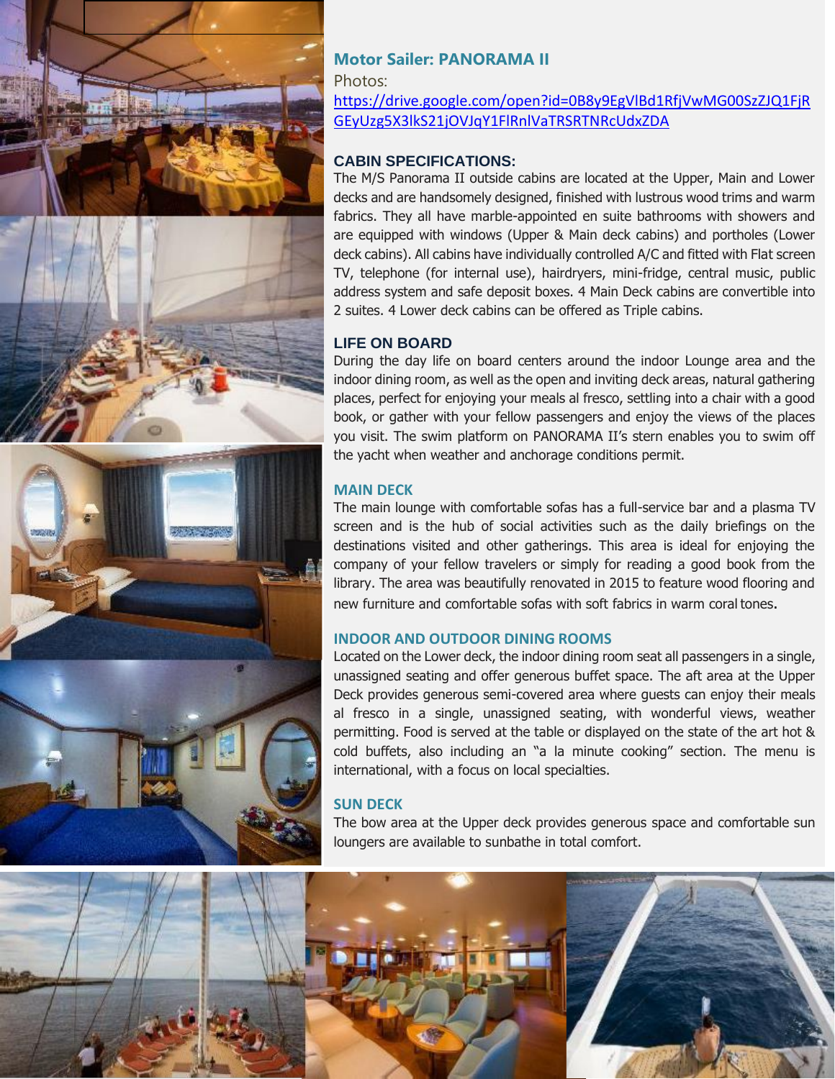

## **Motor Sailer: PANORAMA II**

Photos:

[https://drive.google.com/open?id=0B8y9EgVlBd1RfjVwMG00SzZJQ1FjR](https://drive.google.com/open?id=0B8y9EgVlBd1RfjVwMG00SzZJQ1FjRGEyUzg5X3lkS21jOVJqY1FlRnlVaTRSRTNRcUdxZDA) [GEyUzg5X3lkS21jOVJqY1FlRnlVaTRSRTNRcUdxZDA](https://drive.google.com/open?id=0B8y9EgVlBd1RfjVwMG00SzZJQ1FjRGEyUzg5X3lkS21jOVJqY1FlRnlVaTRSRTNRcUdxZDA)

## **CABIN SPECIFICATIONS:**

The M/S Panorama II outside cabins are located at the Upper, Main and Lower decks and are handsomely designed, finished with lustrous wood trims and warm fabrics. They all have marble-appointed en suite bathrooms with showers and are equipped with windows (Upper & Main deck cabins) and portholes (Lower deck cabins). All cabins have individually controlled A/C and fitted with Flat screen TV, telephone (for internal use), hairdryers, mini-fridge, central music, public address system and safe deposit boxes. 4 Main Deck cabins are convertible into 2 suites. 4 Lower deck cabins can be offered as Triple cabins.

## **LIFE ON BOARD**

During the day life on board centers around the indoor Lounge area and the indoor dining room, as well as the open and inviting deck areas, natural gathering places, perfect for enjoying your meals al fresco, settling into a chair with a good book, or gather with your fellow passengers and enjoy the views of the places you visit. The swim platform on PANORAMA II's stern enables you to swim off the yacht when weather and anchorage conditions permit.

## **MAIN DECK**

The main lounge with comfortable sofas has a full-service bar and a plasma TV screen and is the hub of social activities such as the daily briefings on the destinations visited and other gatherings. This area is ideal for enjoying the company of your fellow travelers or simply for reading a good book from the library. The area was beautifully renovated in 2015 to feature wood flooring and new furniture and comfortable sofas with soft fabrics in warm coral tones.

## **INDOOR AND OUTDOOR DINING ROOMS**

Located on the Lower deck, the indoor dining room seat all passengers in a single, unassigned seating and offer generous buffet space. The aft area at the Upper Deck provides generous semi-covered area where guests can enjoy their meals al fresco in a single, unassigned seating, with wonderful views, weather permitting. Food is served at the table or displayed on the state of the art hot & cold buffets, also including an "a la minute cooking" section. The menu is international, with a focus on local specialties.

## **SUN DECK**

The bow area at the Upper deck provides generous space and comfortable sun loungers are available to sunbathe in total comfort.

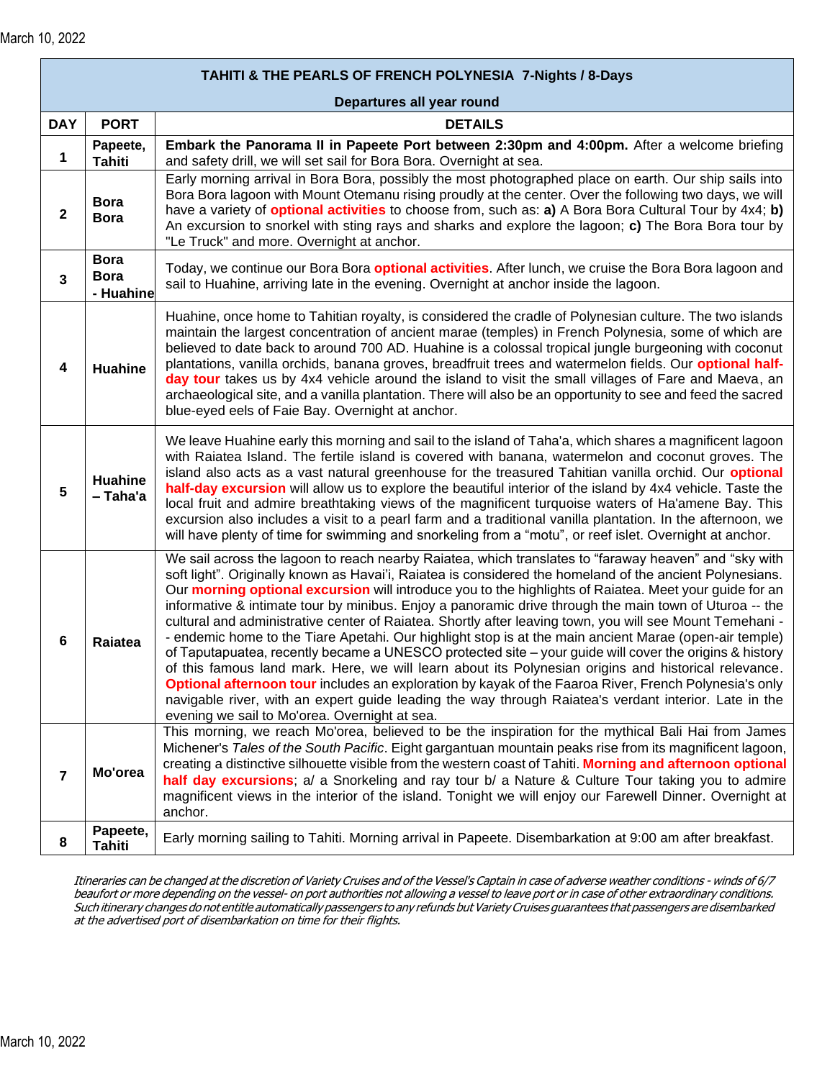| TAHITI & THE PEARLS OF FRENCH POLYNESIA 7-Nights / 8-Days |                                         |                                                                                                                                                                                                                                                                                                                                                                                                                                                                                                                                                                                                                                                                                                                                                                                                                                                                                                                                                                                                                                                                                                                                                  |  |  |  |
|-----------------------------------------------------------|-----------------------------------------|--------------------------------------------------------------------------------------------------------------------------------------------------------------------------------------------------------------------------------------------------------------------------------------------------------------------------------------------------------------------------------------------------------------------------------------------------------------------------------------------------------------------------------------------------------------------------------------------------------------------------------------------------------------------------------------------------------------------------------------------------------------------------------------------------------------------------------------------------------------------------------------------------------------------------------------------------------------------------------------------------------------------------------------------------------------------------------------------------------------------------------------------------|--|--|--|
|                                                           |                                         | Departures all year round                                                                                                                                                                                                                                                                                                                                                                                                                                                                                                                                                                                                                                                                                                                                                                                                                                                                                                                                                                                                                                                                                                                        |  |  |  |
| <b>DAY</b>                                                | <b>PORT</b>                             | <b>DETAILS</b>                                                                                                                                                                                                                                                                                                                                                                                                                                                                                                                                                                                                                                                                                                                                                                                                                                                                                                                                                                                                                                                                                                                                   |  |  |  |
| 1                                                         | Papeete,<br><b>Tahiti</b>               | Embark the Panorama II in Papeete Port between 2:30pm and 4:00pm. After a welcome briefing<br>and safety drill, we will set sail for Bora Bora. Overnight at sea.                                                                                                                                                                                                                                                                                                                                                                                                                                                                                                                                                                                                                                                                                                                                                                                                                                                                                                                                                                                |  |  |  |
| $\mathbf{2}$                                              | <b>Bora</b><br><b>Bora</b>              | Early morning arrival in Bora Bora, possibly the most photographed place on earth. Our ship sails into<br>Bora Bora lagoon with Mount Otemanu rising proudly at the center. Over the following two days, we will<br>have a variety of <b>optional activities</b> to choose from, such as: a) A Bora Bora Cultural Tour by 4x4; b)<br>An excursion to snorkel with sting rays and sharks and explore the lagoon; c) The Bora Bora tour by<br>"Le Truck" and more. Overnight at anchor.                                                                                                                                                                                                                                                                                                                                                                                                                                                                                                                                                                                                                                                            |  |  |  |
| 3                                                         | <b>Bora</b><br><b>Bora</b><br>- Huahine | Today, we continue our Bora Bora <b>optional activities</b> . After lunch, we cruise the Bora Bora lagoon and<br>sail to Huahine, arriving late in the evening. Overnight at anchor inside the lagoon.                                                                                                                                                                                                                                                                                                                                                                                                                                                                                                                                                                                                                                                                                                                                                                                                                                                                                                                                           |  |  |  |
| 4                                                         | <b>Huahine</b>                          | Huahine, once home to Tahitian royalty, is considered the cradle of Polynesian culture. The two islands<br>maintain the largest concentration of ancient marae (temples) in French Polynesia, some of which are<br>believed to date back to around 700 AD. Huahine is a colossal tropical jungle burgeoning with coconut<br>plantations, vanilla orchids, banana groves, breadfruit trees and watermelon fields. Our optional half-<br>day tour takes us by 4x4 vehicle around the island to visit the small villages of Fare and Maeva, an<br>archaeological site, and a vanilla plantation. There will also be an opportunity to see and feed the sacred<br>blue-eyed eels of Faie Bay. Overnight at anchor.                                                                                                                                                                                                                                                                                                                                                                                                                                   |  |  |  |
| 5                                                         | Huahine<br>- Taha'a                     | We leave Huahine early this morning and sail to the island of Taha'a, which shares a magnificent lagoon<br>with Raiatea Island. The fertile island is covered with banana, watermelon and coconut groves. The<br>island also acts as a vast natural greenhouse for the treasured Tahitian vanilla orchid. Our optional<br>half-day excursion will allow us to explore the beautiful interior of the island by 4x4 vehicle. Taste the<br>local fruit and admire breathtaking views of the magnificent turquoise waters of Ha'amene Bay. This<br>excursion also includes a visit to a pearl farm and a traditional vanilla plantation. In the afternoon, we<br>will have plenty of time for swimming and snorkeling from a "motu", or reef islet. Overnight at anchor.                                                                                                                                                                                                                                                                                                                                                                             |  |  |  |
| $6\phantom{1}6$                                           | <b>Raiatea</b>                          | We sail across the lagoon to reach nearby Raiatea, which translates to "faraway heaven" and "sky with<br>soft light". Originally known as Havai'i, Raiatea is considered the homeland of the ancient Polynesians.<br>Our morning optional excursion will introduce you to the highlights of Raiatea. Meet your guide for an<br>informative & intimate tour by minibus. Enjoy a panoramic drive through the main town of Uturoa -- the<br>cultural and administrative center of Raiatea. Shortly after leaving town, you will see Mount Temehani -<br>- endemic home to the Tiare Apetahi. Our highlight stop is at the main ancient Marae (open-air temple)<br>of Taputapuatea, recently became a UNESCO protected site – your guide will cover the origins & history<br>of this famous land mark. Here, we will learn about its Polynesian origins and historical relevance.<br>Optional afternoon tour includes an exploration by kayak of the Faaroa River, French Polynesia's only<br>navigable river, with an expert guide leading the way through Raiatea's verdant interior. Late in the<br>evening we sail to Mo'orea. Overnight at sea. |  |  |  |
| $\overline{7}$                                            | Mo'orea                                 | This morning, we reach Mo'orea, believed to be the inspiration for the mythical Bali Hai from James<br>Michener's Tales of the South Pacific. Eight gargantuan mountain peaks rise from its magnificent lagoon,<br>creating a distinctive silhouette visible from the western coast of Tahiti. Morning and afternoon optional<br>half day excursions; a/ a Snorkeling and ray tour b/ a Nature & Culture Tour taking you to admire<br>magnificent views in the interior of the island. Tonight we will enjoy our Farewell Dinner. Overnight at<br>anchor.                                                                                                                                                                                                                                                                                                                                                                                                                                                                                                                                                                                        |  |  |  |
| 8                                                         | Papeete,<br><b>Tahiti</b>               | Early morning sailing to Tahiti. Morning arrival in Papeete. Disembarkation at 9:00 am after breakfast.                                                                                                                                                                                                                                                                                                                                                                                                                                                                                                                                                                                                                                                                                                                                                                                                                                                                                                                                                                                                                                          |  |  |  |

Itineraries can be changed at the discretion of Variety Cruises and of the Vessel's Captain in case of adverse weather conditions - winds of 6/7 beaufort or more depending on the vessel- on port authorities not allowing <sup>a</sup> vessel to leave port or in case of other extraordinary conditions. Such itinerary changes do not entitle automatically passengers to any refunds but VarietyCruises guarantees that passengers are disembarked at the advertised port of disembarkation on time for their flights.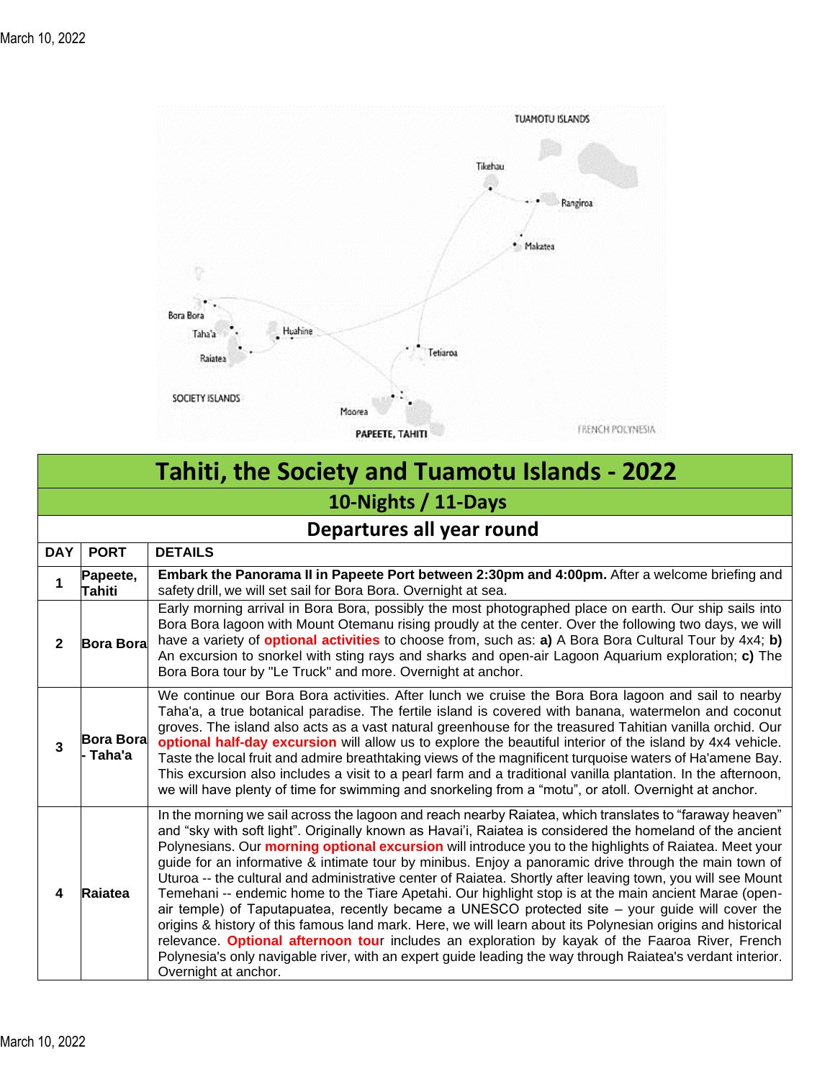

# **Tahiti, the Society and Tuamotu Islands - 2022 10-Nights / 11-Days**

| Departures all year round |                                   |                                                                                                                                                                                                                                                                                                                                                                                                                                                                                                                                                                                                                                                                                                                                                                                                                                                                                                                                                                                                                                                                                                                               |  |  |  |
|---------------------------|-----------------------------------|-------------------------------------------------------------------------------------------------------------------------------------------------------------------------------------------------------------------------------------------------------------------------------------------------------------------------------------------------------------------------------------------------------------------------------------------------------------------------------------------------------------------------------------------------------------------------------------------------------------------------------------------------------------------------------------------------------------------------------------------------------------------------------------------------------------------------------------------------------------------------------------------------------------------------------------------------------------------------------------------------------------------------------------------------------------------------------------------------------------------------------|--|--|--|
| <b>DAY</b>                | <b>PORT</b>                       | <b>DETAILS</b>                                                                                                                                                                                                                                                                                                                                                                                                                                                                                                                                                                                                                                                                                                                                                                                                                                                                                                                                                                                                                                                                                                                |  |  |  |
| 1                         | Papeete,<br>Tahiti                | Embark the Panorama II in Papeete Port between 2:30pm and 4:00pm. After a welcome briefing and<br>safety drill, we will set sail for Bora Bora. Overnight at sea.                                                                                                                                                                                                                                                                                                                                                                                                                                                                                                                                                                                                                                                                                                                                                                                                                                                                                                                                                             |  |  |  |
| $\mathbf{2}$              | <b>Bora Bora</b>                  | Early morning arrival in Bora Bora, possibly the most photographed place on earth. Our ship sails into<br>Bora Bora lagoon with Mount Otemanu rising proudly at the center. Over the following two days, we will<br>have a variety of <b>optional activities</b> to choose from, such as: <b>a)</b> A Bora Bora Cultural Tour by 4x4; <b>b)</b><br>An excursion to snorkel with sting rays and sharks and open-air Lagoon Aquarium exploration; c) The<br>Bora Bora tour by "Le Truck" and more. Overnight at anchor.                                                                                                                                                                                                                                                                                                                                                                                                                                                                                                                                                                                                         |  |  |  |
| 3                         | <b>Bora Bora</b><br><b>⊺aha'a</b> | We continue our Bora Bora activities. After lunch we cruise the Bora Bora lagoon and sail to nearby<br>Taha'a, a true botanical paradise. The fertile island is covered with banana, watermelon and coconut<br>groves. The island also acts as a vast natural greenhouse for the treasured Tahitian vanilla orchid. Our<br>optional half-day excursion will allow us to explore the beautiful interior of the island by 4x4 vehicle.<br>Taste the local fruit and admire breathtaking views of the magnificent turquoise waters of Ha'amene Bay.<br>This excursion also includes a visit to a pearl farm and a traditional vanilla plantation. In the afternoon,<br>we will have plenty of time for swimming and snorkeling from a "motu", or atoll. Overnight at anchor.                                                                                                                                                                                                                                                                                                                                                     |  |  |  |
| 4                         | Raiatea                           | In the morning we sail across the lagoon and reach nearby Raiatea, which translates to "faraway heaven"<br>and "sky with soft light". Originally known as Havai'i, Raiatea is considered the homeland of the ancient<br>Polynesians. Our morning optional excursion will introduce you to the highlights of Raiatea. Meet your<br>guide for an informative & intimate tour by minibus. Enjoy a panoramic drive through the main town of<br>Uturoa -- the cultural and administrative center of Raiatea. Shortly after leaving town, you will see Mount<br>Temehani -- endemic home to the Tiare Apetahi. Our highlight stop is at the main ancient Marae (open-<br>air temple) of Taputapuatea, recently became a UNESCO protected site $-$ your guide will cover the<br>origins & history of this famous land mark. Here, we will learn about its Polynesian origins and historical<br>relevance. Optional afternoon tour includes an exploration by kayak of the Faaroa River, French<br>Polynesia's only navigable river, with an expert guide leading the way through Raiatea's verdant interior.<br>Overnight at anchor. |  |  |  |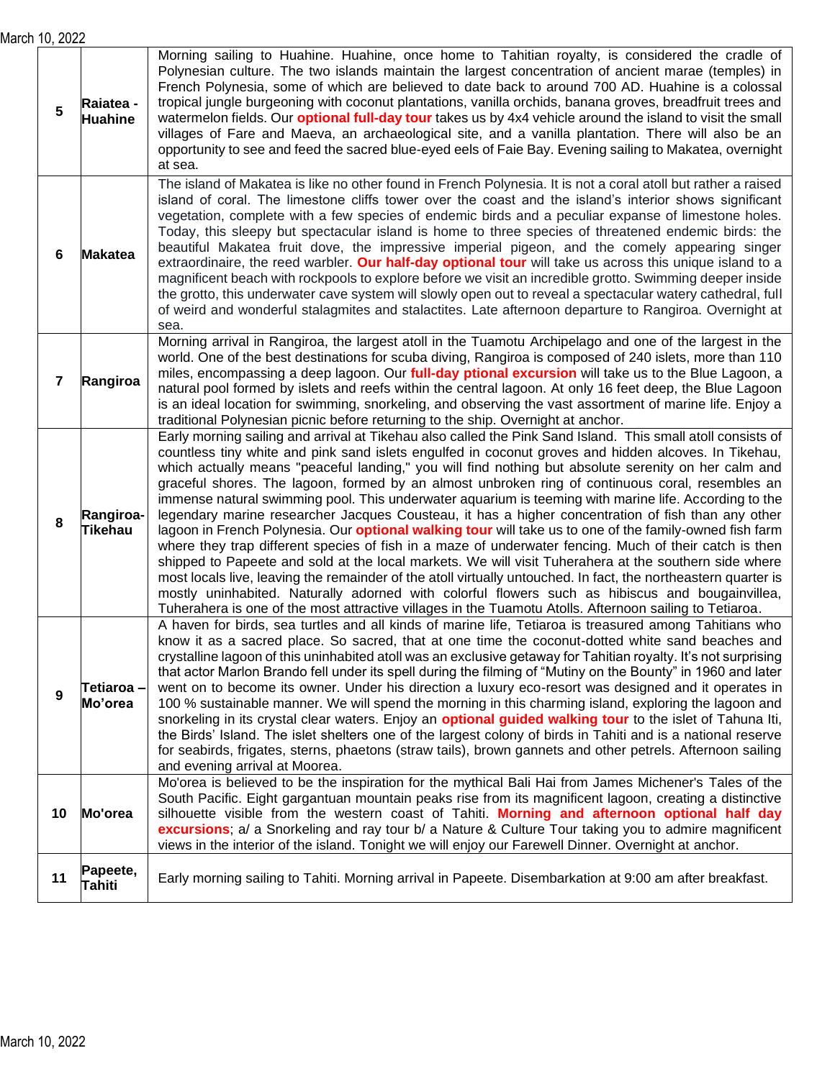March 10, 2022

| I IV, <i>L</i> U <i>LL</i> |                             |                                                                                                                                                                                                                                                                                                                                                                                                                                                                                                                                                                                                                                                                                                                                                                                                                                                                                                                                                                                                                                                                                                                                                                                                                                                                                                                     |  |
|----------------------------|-----------------------------|---------------------------------------------------------------------------------------------------------------------------------------------------------------------------------------------------------------------------------------------------------------------------------------------------------------------------------------------------------------------------------------------------------------------------------------------------------------------------------------------------------------------------------------------------------------------------------------------------------------------------------------------------------------------------------------------------------------------------------------------------------------------------------------------------------------------------------------------------------------------------------------------------------------------------------------------------------------------------------------------------------------------------------------------------------------------------------------------------------------------------------------------------------------------------------------------------------------------------------------------------------------------------------------------------------------------|--|
| 5                          | Raiatea -<br><b>Huahine</b> | Morning sailing to Huahine. Huahine, once home to Tahitian royalty, is considered the cradle of<br>Polynesian culture. The two islands maintain the largest concentration of ancient marae (temples) in<br>French Polynesia, some of which are believed to date back to around 700 AD. Huahine is a colossal<br>tropical jungle burgeoning with coconut plantations, vanilla orchids, banana groves, breadfruit trees and<br>watermelon fields. Our <b>optional full-day tour</b> takes us by 4x4 vehicle around the island to visit the small<br>villages of Fare and Maeva, an archaeological site, and a vanilla plantation. There will also be an<br>opportunity to see and feed the sacred blue-eyed eels of Faie Bay. Evening sailing to Makatea, overnight<br>at sea.                                                                                                                                                                                                                                                                                                                                                                                                                                                                                                                                        |  |
| 6                          | <b>Makatea</b>              | The island of Makatea is like no other found in French Polynesia. It is not a coral atoll but rather a raised<br>island of coral. The limestone cliffs tower over the coast and the island's interior shows significant<br>vegetation, complete with a few species of endemic birds and a peculiar expanse of limestone holes.<br>Today, this sleepy but spectacular island is home to three species of threatened endemic birds: the<br>beautiful Makatea fruit dove, the impressive imperial pigeon, and the comely appearing singer<br>extraordinaire, the reed warbler. Our half-day optional tour will take us across this unique island to a<br>magnificent beach with rockpools to explore before we visit an incredible grotto. Swimming deeper inside<br>the grotto, this underwater cave system will slowly open out to reveal a spectacular watery cathedral, full<br>of weird and wonderful stalagmites and stalactites. Late afternoon departure to Rangiroa. Overnight at<br>sea.                                                                                                                                                                                                                                                                                                                     |  |
| 7                          | Rangiroa                    | Morning arrival in Rangiroa, the largest atoll in the Tuamotu Archipelago and one of the largest in the<br>world. One of the best destinations for scuba diving, Rangiroa is composed of 240 islets, more than 110<br>miles, encompassing a deep lagoon. Our full-day ptional excursion will take us to the Blue Lagoon, a<br>natural pool formed by islets and reefs within the central lagoon. At only 16 feet deep, the Blue Lagoon<br>is an ideal location for swimming, snorkeling, and observing the vast assortment of marine life. Enjoy a<br>traditional Polynesian picnic before returning to the ship. Overnight at anchor.                                                                                                                                                                                                                                                                                                                                                                                                                                                                                                                                                                                                                                                                              |  |
| 8                          | Rangiroa-<br><b>Tikehau</b> | Early morning sailing and arrival at Tikehau also called the Pink Sand Island. This small atoll consists of<br>countless tiny white and pink sand islets engulfed in coconut groves and hidden alcoves. In Tikehau,<br>which actually means "peaceful landing," you will find nothing but absolute serenity on her calm and<br>graceful shores. The lagoon, formed by an almost unbroken ring of continuous coral, resembles an<br>immense natural swimming pool. This underwater aquarium is teeming with marine life. According to the<br>legendary marine researcher Jacques Cousteau, it has a higher concentration of fish than any other<br>lagoon in French Polynesia. Our <b>optional walking tour</b> will take us to one of the family-owned fish farm<br>where they trap different species of fish in a maze of underwater fencing. Much of their catch is then<br>shipped to Papeete and sold at the local markets. We will visit Tuherahera at the southern side where<br>most locals live, leaving the remainder of the atoll virtually untouched. In fact, the northeastern quarter is<br>mostly uninhabited. Naturally adorned with colorful flowers such as hibiscus and bougainvillea,<br>Tuherahera is one of the most attractive villages in the Tuamotu Atolls. Afternoon sailing to Tetiaroa. |  |
| 9                          | Tetiaroa -<br>Mo'orea       | A haven for birds, sea turtles and all kinds of marine life, Tetiaroa is treasured among Tahitians who<br>know it as a sacred place. So sacred, that at one time the coconut-dotted white sand beaches and<br>crystalline lagoon of this uninhabited atoll was an exclusive getaway for Tahitian royalty. It's not surprising<br>that actor Marlon Brando fell under its spell during the filming of "Mutiny on the Bounty" in 1960 and later<br>went on to become its owner. Under his direction a luxury eco-resort was designed and it operates in<br>100 % sustainable manner. We will spend the morning in this charming island, exploring the lagoon and<br>snorkeling in its crystal clear waters. Enjoy an <b>optional guided walking tour</b> to the islet of Tahuna Iti,<br>the Birds' Island. The islet shelters one of the largest colony of birds in Tahiti and is a national reserve<br>for seabirds, frigates, sterns, phaetons (straw tails), brown gannets and other petrels. Afternoon sailing<br>and evening arrival at Moorea.                                                                                                                                                                                                                                                                  |  |
| 10                         | Mo'orea                     | Mo'orea is believed to be the inspiration for the mythical Bali Hai from James Michener's Tales of the<br>South Pacific. Eight gargantuan mountain peaks rise from its magnificent lagoon, creating a distinctive<br>silhouette visible from the western coast of Tahiti. Morning and afternoon optional half day<br>excursions; a/ a Snorkeling and ray tour b/ a Nature & Culture Tour taking you to admire magnificent<br>views in the interior of the island. Tonight we will enjoy our Farewell Dinner. Overnight at anchor.                                                                                                                                                                                                                                                                                                                                                                                                                                                                                                                                                                                                                                                                                                                                                                                   |  |
| 11                         | Papeete,<br><b>Tahiti</b>   | Early morning sailing to Tahiti. Morning arrival in Papeete. Disembarkation at 9:00 am after breakfast.                                                                                                                                                                                                                                                                                                                                                                                                                                                                                                                                                                                                                                                                                                                                                                                                                                                                                                                                                                                                                                                                                                                                                                                                             |  |